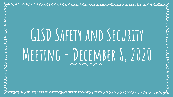Jurinnemmententerme en membre

# **GISD Safety and Security Meeting - December 8, 2020**

Jernin man se de la complement de la contrat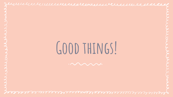**Good things!**

Jternetemennemen er en en en en en elektron

Jernan margaret andre andre and de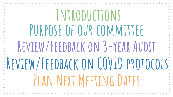| INTRODUCTIONS                      |
|------------------------------------|
| PURPOSE OF OUR COMMITTEE           |
| REVIEW/FEEDBACK ON 3-YEAR AUDIT    |
| REVIEW/FEEDBACK ON COVID PROTOCOLS |
| PLAN NEXT MEETING DATES            |
|                                    |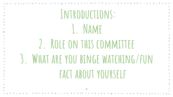| INTRODUCTIONS:                     |  |
|------------------------------------|--|
| 1. NAME                            |  |
| 2. ROLE ON THIS COMMITTEE          |  |
| 3. WHAT ARE YOU BINGE WATCHING/FUN |  |
| FACT ABOUT YOURSELF                |  |
|                                    |  |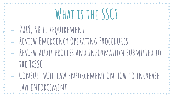| WHAT IS THE SSC?                                  |
|---------------------------------------------------|
| - 2019, SB 11 REQUIREMENT                         |
| REVIEW EMERGENCY OPERATING PROCEDURES             |
| REVIEW AUDIT PROCESS AND INFORMATION SUBMITTED TO |
| THE TXSSC                                         |
| CONSULT WITH LAW ENFORCEMENT ON HOW TO INCREASE   |
| LAW ENFORCEMENT                                   |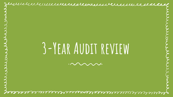**3-Year Audit review**

Jurinnemmermenden vervennen der

 $\cdot \sim \sim \sim \sim$ 

Jernin mannsere and se de community de community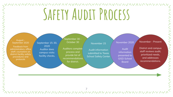## **Safety Audit Process**

‐ August - ‐ September 2020

Feedback from administrators, office staff, counselors on district facility safety procedures and protocols

September 15-30, 2020 Auditor does campus visits: facility checks,

September 30 - October 30

Auditors complete Audit information Audit Audit **Conguest** Distr process and provide list of recommendations for district.

#### November 15

Audit information submitted to Texas **School Safety Center** 

#### November 2020

Audit information presented to GISD School Board

November - Present

District and campus staff reviews audit, prioritized needs, and addresses recommendations.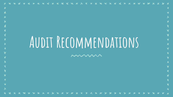### **Audit Recommendations**

 $\boldsymbol{\mathsf{x}}$  $\blacktriangle$ 

 $\overline{\mathbf{x}}$ 

 $\overline{\mathbf{X}}$  $\boldsymbol{\mathsf{x}}$ 

> $\overline{\mathbf{x}}$ X

X  $\overline{\mathbf{x}}$ 

 $\overline{\mathbf{x}}$ 

mumm

 $\overline{\textbf{x}}$  $\mathbf x$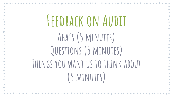| FFEDBACK ON AUDIT                 |
|-----------------------------------|
| AHA'S (5 MINUTES)                 |
| QUESTIONS (5 MINUTES)             |
| THINGS YOU WANT US TO THINK ABOUT |
| (5 MINUTES)                       |
| $\overline{9}$                    |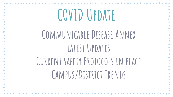## **COVID Update**

### **Communicable Disease Annex** LATEST UPDATES

**Current safety Protocols in place Campus/District Trends**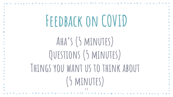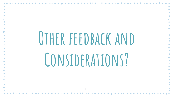| OTHER FEEDBACK AND |  |
|--------------------|--|
|                    |  |
|                    |  |
|                    |  |
| CONSIDERATIONS?    |  |
|                    |  |
|                    |  |
|                    |  |
|                    |  |
| 12                 |  |
|                    |  |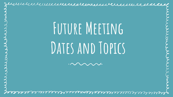Jurinnemmenten er anne en manne de la

## FUTURE MEETING DATES AND TOPICS

Je suuri uu uu uu uu aananna aa aa aa aa aa aa a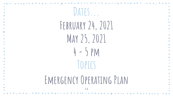